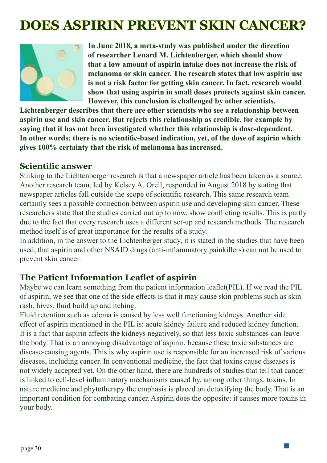# **[DOES ASPIRIN PREVENT SKIN C](http://www.geneeskrachtigegroenten.nl/Groentesoos/Vegatales/Can-aspirin-prevent-skin-cancer/)ANCER?**



**In June 2018, a meta-study was published under the direction of researcher Lenard M. Lichtenberger, which should show that a low amount of aspirin intake does not increase the risk of melanoma or skin cancer. The research states that low aspirin use is not a risk factor for getting skin cancer. In fact, research would show that using aspirin in small doses protects against skin cancer. However, this conclusion is challenged by other scientists.**

**Lichtenberger describes that there are other scientists who see a relationship between aspirin use and skin cancer. But rejects this relationship as credible, for example by saying that it has not been investigated whether this relationship is dose-dependent. In other words: there is no scientific-based indication, yet, of the dose of aspirin which gives 100% certainty that the risk of melanoma has increased.**

#### **Scientific answer**

Striking to the Lichtenberger research is that a newspaper article has been taken as a source. Another research team, led by Kelsey A. Orell, responded in August 2018 by stating that newspaper articles fall outside the scope of scientific research. This same research team certainly sees a possible connection between aspirin use and developing skin cancer. These researchers state that the studies carried out up to now, show conflicting results. This is partly due to the fact that every research uses a different set-up and research methods. The research method itself is of great importance for the results of a study.

In addition, in the answer to the Lichtenberger study, it is stated in the studies that have been used, that aspirin and other NSAID drugs (anti-inflammatory painkillers) can not be used to prevent skin cancer.

#### **The Patient Information Leaflet of aspirin**

Maybe we can learn something from the patient information leaflet(PIL). If we read the PIL of aspirin, we see that one of the side effects is that it may cause skin problems such as skin rash, hives, fluid build up and itching.

Fluid retention such as edema is caused by less well functioning kidneys. Another side effect of aspirin mentioned in the PIL is: acute kidney failure and reduced kidney function. It is a fact that aspirin affects the kidneys negatively, so that less toxic substances can leave the body. That is an annoying disadvantage of aspirin, because these toxic substances are disease-causing agents. This is why aspirin use is responsible for an increased risk of various diseases, including cancer. In conventional medicine, the fact that toxins cause diseases is not widely accepted yet. On the other hand, there are hundreds of studies that tell that cancer is linked to cell-level inflammatory mechanisms caused by, among other things, toxins. In nature medicine and phytotherapy the emphasis is placed on detoxifying the body. That is an important condition for combating cancer. Aspirin does the opposite: it causes more toxins in your body.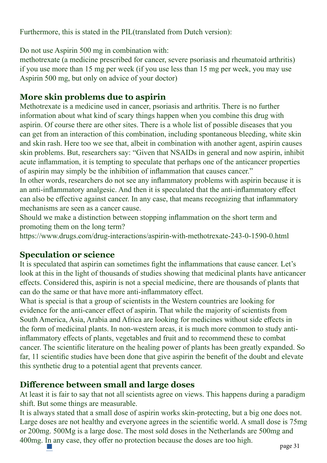Furthermore, this is stated in the PIL(translated from Dutch version):

Do not use Aspirin 500 mg in combination with:

methotrexate (a medicine prescribed for cancer, severe psoriasis and rheumatoid arthritis) if you use more than 15 mg per week (if you use less than 15 mg per week, you may use Aspirin 500 mg, but only on advice of your doctor)

## **More skin problems due to aspirin**

Methotrexate is a medicine used in cancer, psoriasis and arthritis. There is no further information about what kind of scary things happen when you combine this drug with aspirin. Of course there are other sites. There is a whole list of possible diseases that you can get from an interaction of this combination, including spontaneous bleeding, white skin and skin rash. Here too we see that, albeit in combination with another agent, aspirin causes skin problems. But, researchers say: "Given that NSAIDs in general and now aspirin, inhibit acute inflammation, it is tempting to speculate that perhaps one of the anticancer properties of aspirin may simply be the inhibition of inflammation that causes cancer."

In other words, researchers do not see any inflammatory problems with aspirin because it is an anti-inflammatory analgesic. And then it is speculated that the anti-inflammatory effect can also be effective against cancer. In any case, that means recognizing that inflammatory mechanisms are seen as a cancer cause.

Should we make a distinction between stopping inflammation on the short term and promoting them on the long term?

https://www.drugs.com/drug-interactions/aspirin-with-methotrexate-243-0-1590-0.html

#### **Speculation or science**

It is speculated that aspirin can sometimes fight the inflammations that cause cancer. Let's look at this in the light of thousands of studies showing that medicinal plants have anticancer effects. Considered this, aspirin is not a special medicine, there are thousands of plants that can do the same or that have more anti-inflammatory effect.

What is special is that a group of scientists in the Western countries are looking for evidence for the anti-cancer effect of aspirin. That while the majority of scientists from South America, Asia, Arabia and Africa are looking for medicines without side effects in the form of medicinal plants. In non-western areas, it is much more common to study antiinflammatory effects of plants, vegetables and fruit and to recommend these to combat cancer. The scientific literature on the healing power of plants has been greatly expanded. So far, 11 scientific studies have been done that give aspirin the benefit of the doubt and elevate this synthetic drug to a potential agent that prevents cancer.

#### **Difference between small and large doses**

At least it is fair to say that not all scientists agree on views. This happens during a paradigm shift. But some things are measurable.

 $\Box$ It is always stated that a small dose of aspirin works skin-protecting, but a big one does not. Large doses are not healthy and everyone agrees in the scientific world. A small dose is 75mg or 200mg. 500Mg is a large dose. The most sold doses in the Netherlands are 500mg and 400mg. In any case, they offer no protection because the doses are too high.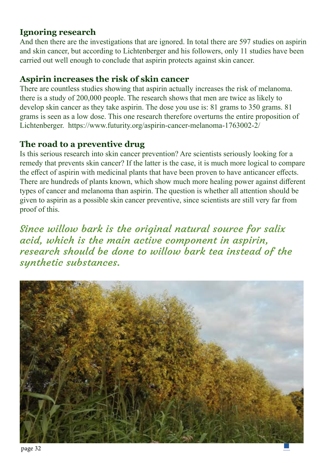#### **Ignoring research**

And then there are the investigations that are ignored. In total there are 597 studies on aspirin and skin cancer, but according to Lichtenberger and his followers, only 11 studies have been carried out well enough to conclude that aspirin protects against skin cancer.

#### **Aspirin increases the risk of skin cancer**

There are countless studies showing that aspirin actually increases the risk of melanoma. there is a study of 200,000 people. The research shows that men are twice as likely to develop skin cancer as they take aspirin. The dose you use is: 81 grams to 350 grams. 81 grams is seen as a low dose. This one research therefore overturns the entire proposition of Lichtenberger. https://www.futurity.org/aspirin-cancer-melanoma-1763002-2/

### **The road to a preventive drug**

Is this serious research into skin cancer prevention? Are scientists seriously looking for a remedy that prevents skin cancer? If the latter is the case, it is much more logical to compare the effect of aspirin with medicinal plants that have been proven to have anticancer effects. There are hundreds of plants known, which show much more healing power against different types of cancer and melanoma than aspirin. The question is whether all attention should be given to aspirin as a possible skin cancer preventive, since scientists are still very far from proof of this.

Since willow bark is the original natural source for salix acid, which is the main active component in aspirin, research should be done to willow bark tea instead of the synthetic substances.